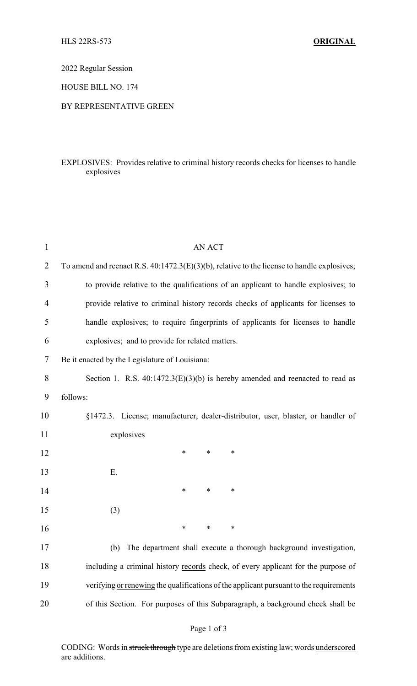2022 Regular Session

HOUSE BILL NO. 174

#### BY REPRESENTATIVE GREEN

## EXPLOSIVES: Provides relative to criminal history records checks for licenses to handle explosives

| $\mathbf{1}$   | <b>AN ACT</b>                                                                                  |
|----------------|------------------------------------------------------------------------------------------------|
| $\overline{2}$ | To amend and reenact R.S. $40:1472.3(E)(3)(b)$ , relative to the license to handle explosives; |
| 3              | to provide relative to the qualifications of an applicant to handle explosives; to             |
| 4              | provide relative to criminal history records checks of applicants for licenses to              |
| 5              | handle explosives; to require fingerprints of applicants for licenses to handle                |
| 6              | explosives; and to provide for related matters.                                                |
| 7              | Be it enacted by the Legislature of Louisiana:                                                 |
| 8              | Section 1. R.S. $40:1472.3(E)(3)(b)$ is hereby amended and reenacted to read as                |
| 9              | follows:                                                                                       |
| 10             | §1472.3. License; manufacturer, dealer-distributor, user, blaster, or handler of               |
| 11             | explosives                                                                                     |
| 12             | $\ast$<br>∗<br>∗                                                                               |
| 13             | Ε.                                                                                             |
| 14             | ∗<br>$\ast$<br>∗                                                                               |
| 15             | (3)                                                                                            |
| 16             | ∗<br>∗<br>∗                                                                                    |
| 17             | (b)<br>The department shall execute a thorough background investigation,                       |
| 18             | including a criminal history records check, of every applicant for the purpose of              |
| 19             | verifying or renewing the qualifications of the applicant pursuant to the requirements         |
| 20             | of this Section. For purposes of this Subparagraph, a background check shall be                |
|                |                                                                                                |

# Page 1 of 3

CODING: Words in struck through type are deletions from existing law; words underscored are additions.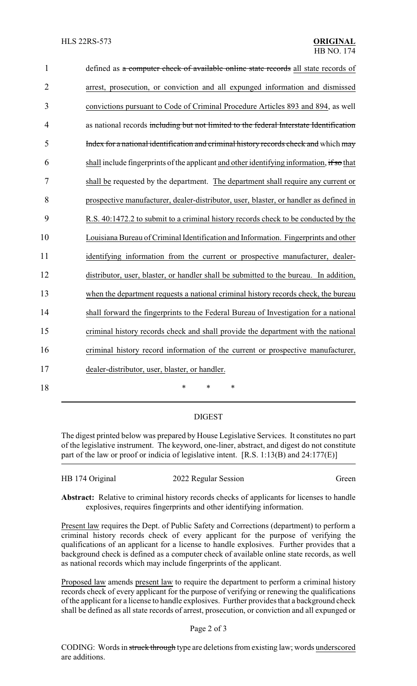| $\mathbf{1}$   | defined as a computer check of available online state records all state records of        |
|----------------|-------------------------------------------------------------------------------------------|
| $\overline{2}$ | arrest, prosecution, or conviction and all expunged information and dismissed             |
| 3              | convictions pursuant to Code of Criminal Procedure Articles 893 and 894, as well          |
| $\overline{4}$ | as national records including but not limited to the federal Interstate Identification    |
| 5              | Index for a national identification and criminal history records check and which may      |
| 6              | shall include fingerprints of the applicant and other identifying information, if so that |
| 7              | shall be requested by the department. The department shall require any current or         |
| 8              | prospective manufacturer, dealer-distributor, user, blaster, or handler as defined in     |
| 9              | R.S. 40:1472.2 to submit to a criminal history records check to be conducted by the       |
| 10             | Louisiana Bureau of Criminal Identification and Information. Fingerprints and other       |
| 11             | identifying information from the current or prospective manufacturer, dealer-             |
| 12             | distributor, user, blaster, or handler shall be submitted to the bureau. In addition,     |
| 13             | when the department requests a national criminal history records check, the bureau        |
| 14             | shall forward the fingerprints to the Federal Bureau of Investigation for a national      |
| 15             | criminal history records check and shall provide the department with the national         |
| 16             | criminal history record information of the current or prospective manufacturer,           |
| 17             | dealer-distributor, user, blaster, or handler.                                            |
| 18             | $\ast$<br>$\ast$<br>*                                                                     |

### DIGEST

The digest printed below was prepared by House Legislative Services. It constitutes no part of the legislative instrument. The keyword, one-liner, abstract, and digest do not constitute part of the law or proof or indicia of legislative intent. [R.S. 1:13(B) and 24:177(E)]

| HB 174 Original | 2022 Regular Session | Green |
|-----------------|----------------------|-------|
|                 |                      |       |

**Abstract:** Relative to criminal history records checks of applicants for licenses to handle explosives, requires fingerprints and other identifying information.

Present law requires the Dept. of Public Safety and Corrections (department) to perform a criminal history records check of every applicant for the purpose of verifying the qualifications of an applicant for a license to handle explosives. Further provides that a background check is defined as a computer check of available online state records, as well as national records which may include fingerprints of the applicant.

Proposed law amends present law to require the department to perform a criminal history records check of every applicant for the purpose of verifying or renewing the qualifications of the applicant for a license to handle explosives. Further provides that a background check shall be defined as all state records of arrest, prosecution, or conviction and all expunged or

### Page 2 of 3

CODING: Words in struck through type are deletions from existing law; words underscored are additions.